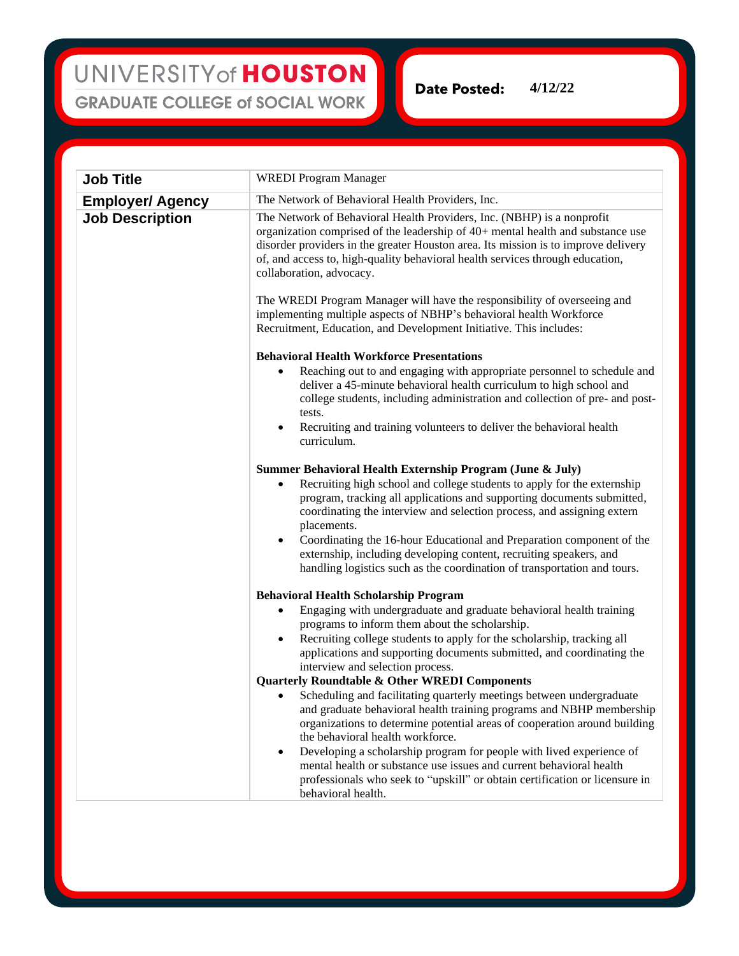## UNIVERSITY of HOUSTON **GRADUATE COLLEGE of SOCIAL WORK**

**Date Posted: 4/12/22**

| <b>Job Title</b>        | <b>WREDI</b> Program Manager                                                                                                                                                                                                                                                                                                                                                                                                                                                                    |
|-------------------------|-------------------------------------------------------------------------------------------------------------------------------------------------------------------------------------------------------------------------------------------------------------------------------------------------------------------------------------------------------------------------------------------------------------------------------------------------------------------------------------------------|
| <b>Employer/ Agency</b> | The Network of Behavioral Health Providers, Inc.                                                                                                                                                                                                                                                                                                                                                                                                                                                |
| <b>Job Description</b>  | The Network of Behavioral Health Providers, Inc. (NBHP) is a nonprofit<br>organization comprised of the leadership of 40+ mental health and substance use<br>disorder providers in the greater Houston area. Its mission is to improve delivery<br>of, and access to, high-quality behavioral health services through education,<br>collaboration, advocacy.                                                                                                                                    |
|                         | The WREDI Program Manager will have the responsibility of overseeing and<br>implementing multiple aspects of NBHP's behavioral health Workforce<br>Recruitment, Education, and Development Initiative. This includes:                                                                                                                                                                                                                                                                           |
|                         | <b>Behavioral Health Workforce Presentations</b>                                                                                                                                                                                                                                                                                                                                                                                                                                                |
|                         | Reaching out to and engaging with appropriate personnel to schedule and<br>٠<br>deliver a 45-minute behavioral health curriculum to high school and<br>college students, including administration and collection of pre- and post-<br>tests.<br>Recruiting and training volunteers to deliver the behavioral health<br>$\bullet$<br>curriculum.                                                                                                                                                 |
|                         | Summer Behavioral Health Externship Program (June & July)                                                                                                                                                                                                                                                                                                                                                                                                                                       |
|                         | Recruiting high school and college students to apply for the externship<br>$\bullet$<br>program, tracking all applications and supporting documents submitted,<br>coordinating the interview and selection process, and assigning extern<br>placements.<br>Coordinating the 16-hour Educational and Preparation component of the<br>$\bullet$<br>externship, including developing content, recruiting speakers, and<br>handling logistics such as the coordination of transportation and tours. |
|                         |                                                                                                                                                                                                                                                                                                                                                                                                                                                                                                 |
|                         | <b>Behavioral Health Scholarship Program</b><br>Engaging with undergraduate and graduate behavioral health training<br>٠<br>programs to inform them about the scholarship.                                                                                                                                                                                                                                                                                                                      |
|                         | Recruiting college students to apply for the scholarship, tracking all<br>$\bullet$<br>applications and supporting documents submitted, and coordinating the<br>interview and selection process.                                                                                                                                                                                                                                                                                                |
|                         | <b>Quarterly Roundtable &amp; Other WREDI Components</b>                                                                                                                                                                                                                                                                                                                                                                                                                                        |
|                         | Scheduling and facilitating quarterly meetings between undergraduate<br>and graduate behavioral health training programs and NBHP membership<br>organizations to determine potential areas of cooperation around building<br>the behavioral health workforce.                                                                                                                                                                                                                                   |
|                         | Developing a scholarship program for people with lived experience of<br>$\bullet$<br>mental health or substance use issues and current behavioral health<br>professionals who seek to "upskill" or obtain certification or licensure in<br>behavioral health.                                                                                                                                                                                                                                   |